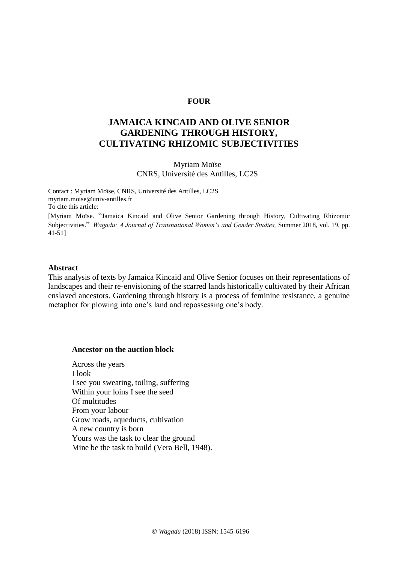### **FOUR**

# **JAMAICA KINCAID AND OLIVE SENIOR GARDENING THROUGH HISTORY, CULTIVATING RHIZOMIC SUBJECTIVITIES**

Myriam Moïse CNRS, Université des Antilles, LC2S

Contact : Myriam Moïse, CNRS, Université des Antilles, LC2S [myriam.moise@univ-antilles.fr](mailto:myriam.moise@univ-antilles.fr) To cite this article: [Myriam Moïse. "Jamaica Kincaid and Olive Senior Gardening through History, Cultivating Rhizomic Subjectivities." *Wagadu: A Journal of Transnational Women's and Gender Studies,* Summer 2018, vol. 19, pp. 41-51]

#### **Abstract**

This analysis of texts by Jamaica Kincaid and Olive Senior focuses on their representations of landscapes and their re-envisioning of the scarred lands historically cultivated by their African enslaved ancestors. Gardening through history is a process of feminine resistance, a genuine metaphor for plowing into one's land and repossessing one's body.

#### **Ancestor on the auction block**

Across the years I look I see you sweating, toiling, suffering Within your loins I see the seed Of multitudes From your labour Grow roads, aqueducts, cultivation A new country is born Yours was the task to clear the ground Mine be the task to build (Vera Bell, 1948).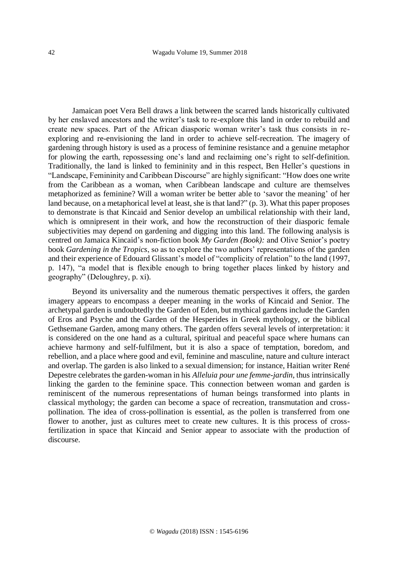Jamaican poet Vera Bell draws a link between the scarred lands historically cultivated by her enslaved ancestors and the writer's task to re-explore this land in order to rebuild and create new spaces. Part of the African diasporic woman writer's task thus consists in reexploring and re-envisioning the land in order to achieve self-recreation. The imagery of gardening through history is used as a process of feminine resistance and a genuine metaphor for plowing the earth, repossessing one's land and reclaiming one's right to self-definition. Traditionally, the land is linked to femininity and in this respect, Ben Heller's questions in "Landscape, Femininity and Caribbean Discourse" are highly significant: "How does one write from the Caribbean as a woman, when Caribbean landscape and culture are themselves metaphorized as feminine? Will a woman writer be better able to 'savor the meaning' of her land because, on a metaphorical level at least, she is that land?" (p. 3). What this paper proposes to demonstrate is that Kincaid and Senior develop an umbilical relationship with their land, which is omnipresent in their work, and how the reconstruction of their diasporic female subjectivities may depend on gardening and digging into this land. The following analysis is centred on Jamaica Kincaid's non-fiction book *My Garden (Book):* and Olive Senior's poetry book *Gardening in the Tropics*, so as to explore the two authors' representations of the garden and their experience of Edouard Glissant's model of "complicity of relation" to the land (1997, p. 147), "a model that is flexible enough to bring together places linked by history and geography" (Deloughrey, p. xi).

Beyond its universality and the numerous thematic perspectives it offers, the garden imagery appears to encompass a deeper meaning in the works of Kincaid and Senior. The archetypal garden is undoubtedly the Garden of Eden, but mythical gardens include the Garden of Eros and Psyche and the Garden of the Hesperides in Greek mythology, or the biblical Gethsemane Garden, among many others. The garden offers several levels of interpretation: it is considered on the one hand as a cultural, spiritual and peaceful space where humans can achieve harmony and self-fulfilment, but it is also a space of temptation, boredom, and rebellion, and a place where good and evil, feminine and masculine, nature and culture interact and overlap. The garden is also linked to a sexual dimension; for instance, Haitian writer René Depestre celebrates the garden-woman in his *Alleluia pour une femme-jardin*, thus intrinsically linking the garden to the feminine space. This connection between woman and garden is reminiscent of the numerous representations of human beings transformed into plants in classical mythology; the garden can become a space of recreation, transmutation and crosspollination. The idea of cross-pollination is essential, as the pollen is transferred from one flower to another, just as cultures meet to create new cultures. It is this process of crossfertilization in space that Kincaid and Senior appear to associate with the production of discourse.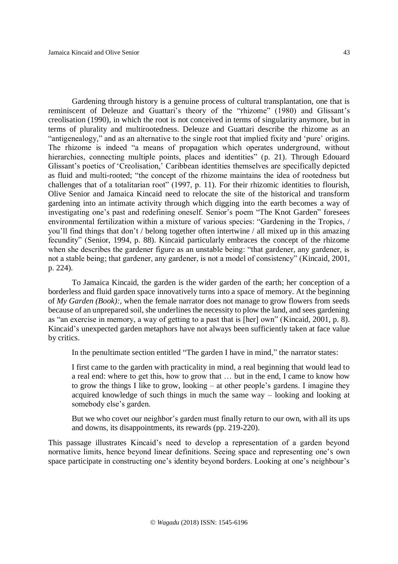Gardening through history is a genuine process of cultural transplantation, one that is reminiscent of Deleuze and Guattari's theory of the "rhizome" (1980) and Glissant's creolisation (1990), in which the root is not conceived in terms of singularity anymore, but in terms of plurality and multirootedness. Deleuze and Guattari describe the rhizome as an "antigenealogy," and as an alternative to the single root that implied fixity and 'pure' origins. The rhizome is indeed "a means of propagation which operates underground, without hierarchies, connecting multiple points, places and identities" (p. 21). Through Edouard Glissant's poetics of 'Creolisation,' Caribbean identities themselves are specifically depicted as fluid and multi-rooted; "the concept of the rhizome maintains the idea of rootedness but challenges that of a totalitarian root" (1997, p. 11). For their rhizomic identities to flourish, Olive Senior and Jamaica Kincaid need to relocate the site of the historical and transform gardening into an intimate activity through which digging into the earth becomes a way of investigating one's past and redefining oneself. Senior's poem "The Knot Garden" foresees environmental fertilization within a mixture of various species: "Gardening in the Tropics, / you'll find things that don't / belong together often intertwine / all mixed up in this amazing fecundity" (Senior, 1994, p. 88). Kincaid particularly embraces the concept of the rhizome when she describes the gardener figure as an unstable being: "that gardener, any gardener, is not a stable being; that gardener, any gardener, is not a model of consistency" (Kincaid, 2001, p. 224).

To Jamaica Kincaid, the garden is the wider garden of the earth; her conception of a borderless and fluid garden space innovatively turns into a space of memory. At the beginning of *My Garden (Book):*, when the female narrator does not manage to grow flowers from seeds because of an unprepared soil, she underlines the necessity to plow the land, and sees gardening as "an exercise in memory, a way of getting to a past that is [her] own" (Kincaid, 2001, p. 8). Kincaid's unexpected garden metaphors have not always been sufficiently taken at face value by critics.

In the penultimate section entitled "The garden I have in mind," the narrator states:

I first came to the garden with practicality in mind, a real beginning that would lead to a real end: where to get this, how to grow that … but in the end, I came to know how to grow the things I like to grow, looking – at other people's gardens. I imagine they acquired knowledge of such things in much the same way – looking and looking at somebody else's garden.

But we who covet our neighbor's garden must finally return to our own, with all its ups and downs, its disappointments, its rewards (pp. 219-220).

This passage illustrates Kincaid's need to develop a representation of a garden beyond normative limits, hence beyond linear definitions. Seeing space and representing one's own space participate in constructing one's identity beyond borders. Looking at one's neighbour's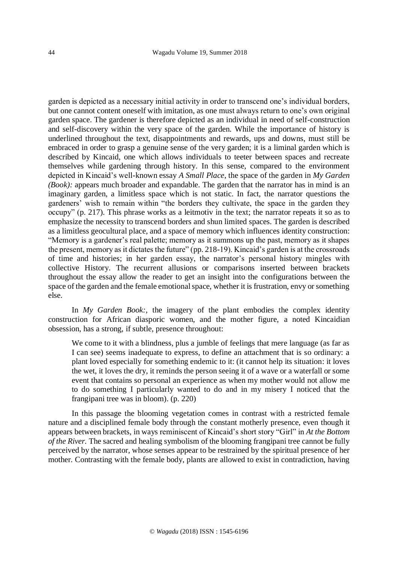garden is depicted as a necessary initial activity in order to transcend one's individual borders, but one cannot content oneself with imitation, as one must always return to one's own original garden space. The gardener is therefore depicted as an individual in need of self-construction and self-discovery within the very space of the garden. While the importance of history is underlined throughout the text, disappointments and rewards, ups and downs, must still be embraced in order to grasp a genuine sense of the very garden; it is a liminal garden which is described by Kincaid, one which allows individuals to teeter between spaces and recreate themselves while gardening through history. In this sense, compared to the environment depicted in Kincaid's well-known essay *A Small Place*, the space of the garden in *My Garden (Book)*: appears much broader and expandable. The garden that the narrator has in mind is an imaginary garden, a limitless space which is not static. In fact, the narrator questions the gardeners' wish to remain within "the borders they cultivate, the space in the garden they occupy" (p. 217). This phrase works as a leitmotiv in the text; the narrator repeats it so as to emphasize the necessity to transcend borders and shun limited spaces. The garden is described as a limitless geocultural place, and a space of memory which influences identity construction: "Memory is a gardener's real palette; memory as it summons up the past, memory as it shapes the present, memory as it dictates the future" (pp. 218-19). Kincaid's garden is at the crossroads of time and histories; in her garden essay, the narrator's personal history mingles with collective History. The recurrent allusions or comparisons inserted between brackets throughout the essay allow the reader to get an insight into the configurations between the space of the garden and the female emotional space, whether it is frustration, envy or something else.

In *My Garden Book:*, the imagery of the plant embodies the complex identity construction for African diasporic women, and the mother figure, a noted Kincaidian obsession, has a strong, if subtle, presence throughout:

We come to it with a blindness, plus a jumble of feelings that mere language (as far as I can see) seems inadequate to express, to define an attachment that is so ordinary: a plant loved especially for something endemic to it: (it cannot help its situation: it loves the wet, it loves the dry, it reminds the person seeing it of a wave or a waterfall or some event that contains so personal an experience as when my mother would not allow me to do something I particularly wanted to do and in my misery I noticed that the frangipani tree was in bloom). (p. 220)

In this passage the blooming vegetation comes in contrast with a restricted female nature and a disciplined female body through the constant motherly presence, even though it appears between brackets, in ways reminiscent of Kincaid's short story "Girl" in *At the Bottom of the River.* The sacred and healing symbolism of the blooming frangipani tree cannot be fully perceived by the narrator, whose senses appear to be restrained by the spiritual presence of her mother. Contrasting with the female body, plants are allowed to exist in contradiction, having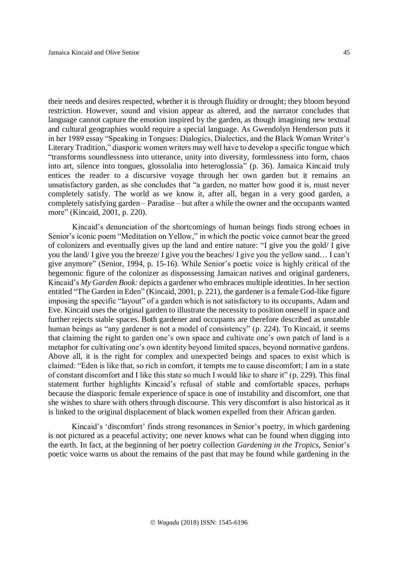their needs and desires respected, whether it is through fluidity or drought; they bloom beyond restriction. However, sound and vision appear as altered, and the narrator concludes that language cannot capture the emotion inspired by the garden, as though imagining new textual and cultural geographies would require a special language. As Gwendolyn Henderson puts it in her 1989 essay "Speaking in Tongues: Dialogics, Dialectics, and the Black Woman Writer's Literary Tradition," diasporic women writers may well have to develop a specific tongue which "transforms soundlessness into utterance, unity into diversity, formlessness into form, chaos into art, silence into tongues, glossolalia into heteroglossia" (p. 36). Jamaica Kincaid truly entices the reader to a discursive voyage through her own garden but it remains an unsatisfactory garden, as she concludes that "a garden, no matter how good it is, must never completely satisfy. The world as we know it, after all, began in a very good garden, a completely satisfying garden – Paradise – but after a while the owner and the occupants wanted more" (Kincaid, 2001, p. 220).

Kincaid's denunciation of the shortcomings of human beings finds strong echoes in Senior's iconic poem "Meditation on Yellow," in which the poetic voice cannot bear the greed of colonizers and eventually gives up the land and entire nature: "I give you the gold/ I give you the land/ I give you the breeze/ I give you the beaches/ I give you the yellow sand… I can't give anymore" (Senior, 1994, p. 15-16). While Senior's poetic voice is highly critical of the hegemonic figure of the colonizer as dispossessing Jamaican natives and original gardeners, Kincaid's *My Garden Book:* depicts a gardener who embraces multiple identities. In her section entitled "The Garden in Eden" (Kincaid, 2001, p. 221), the gardener is a female God-like figure imposing the specific "layout" of a garden which is not satisfactory to its occupants, Adam and Eve. Kincaid uses the original garden to illustrate the necessity to position oneself in space and further rejects stable spaces. Both gardener and occupants are therefore described as unstable human beings as "any gardener is not a model of consistency" (p. 224). To Kincaid, it seems that claiming the right to garden one's own space and cultivate one's own patch of land is a metaphor for cultivating one's own identity beyond limited spaces, beyond normative gardens. Above all, it is the right for complex and unexpected beings and spaces to exist which is claimed: "Eden is like that, so rich in comfort, it tempts me to cause discomfort; I am in a state of constant discomfort and I like this state so much I would like to share it" (p. 229). This final statement further highlights Kincaid's refusal of stable and comfortable spaces, perhaps because the diasporic female experience of space is one of instability and discomfort, one that she wishes to share with others through discourse. This very discomfort is also historical as it is linked to the original displacement of black women expelled from their African garden.

Kincaid's 'discomfort' finds strong resonances in Senior's poetry, in which gardening is not pictured as a peaceful activity; one never knows what can be found when digging into the earth. In fact, at the beginning of her poetry collection *Gardening in the Tropics,* Senior's poetic voice warns us about the remains of the past that may be found while gardening in the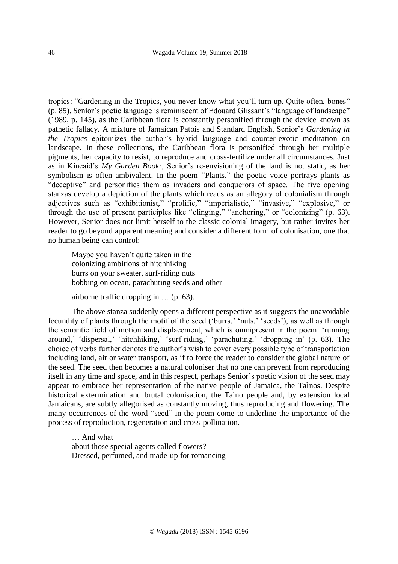tropics: "Gardening in the Tropics, you never know what you'll turn up. Quite often, bones" (p. 85). Senior's poetic language is reminiscent of Edouard Glissant's "language of landscape" (1989, p. 145), as the Caribbean flora is constantly personified through the device known as pathetic fallacy. A mixture of Jamaican Patois and Standard English, Senior's *Gardening in the Tropics* epitomizes the author's hybrid language and counter-exotic meditation on landscape. In these collections, the Caribbean flora is personified through her multiple pigments, her capacity to resist, to reproduce and cross-fertilize under all circumstances. Just as in Kincaid's *My Garden Book:*, Senior's re-envisioning of the land is not static, as her symbolism is often ambivalent. In the poem "Plants," the poetic voice portrays plants as "deceptive" and personifies them as invaders and conquerors of space. The five opening stanzas develop a depiction of the plants which reads as an allegory of colonialism through adjectives such as "exhibitionist," "prolific," "imperialistic," "invasive," "explosive," or through the use of present participles like "clinging," "anchoring," or "colonizing" (p. 63). However, Senior does not limit herself to the classic colonial imagery, but rather invites her reader to go beyond apparent meaning and consider a different form of colonisation, one that no human being can control:

Maybe you haven't quite taken in the colonizing ambitions of hitchhiking burrs on your sweater, surf-riding nuts bobbing on ocean, parachuting seeds and other

airborne traffic dropping in … (p. 63).

The above stanza suddenly opens a different perspective as it suggests the unavoidable fecundity of plants through the motif of the seed ('burrs,' 'nuts,' 'seeds'), as well as through the semantic field of motion and displacement, which is omnipresent in the poem: 'running around,' 'dispersal,' 'hitchhiking,' 'surf-riding,' 'parachuting,' 'dropping in' (p. 63). The choice of verbs further denotes the author's wish to cover every possible type of transportation including land, air or water transport, as if to force the reader to consider the global nature of the seed. The seed then becomes a natural coloniser that no one can prevent from reproducing itself in any time and space, and in this respect, perhaps Senior's poetic vision of the seed may appear to embrace her representation of the native people of Jamaica, the Taìnos. Despite historical extermination and brutal colonisation, the Taìno people and, by extension local Jamaicans, are subtly allegorised as constantly moving, thus reproducing and flowering. The many occurrences of the word "seed" in the poem come to underline the importance of the process of reproduction, regeneration and cross-pollination.

… And what about those special agents called flowers? Dressed, perfumed, and made-up for romancing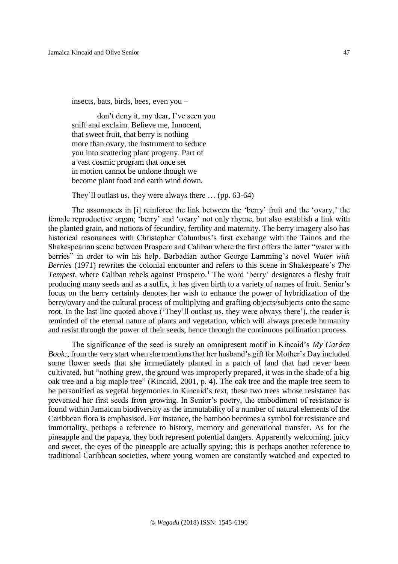insects, bats, birds, bees, even you –

don't deny it, my dear, I've seen you sniff and exclaim. Believe me, Innocent, that sweet fruit, that berry is nothing more than ovary, the instrument to seduce you into scattering plant progeny. Part of a vast cosmic program that once set in motion cannot be undone though we become plant food and earth wind down.

They'll outlast us, they were always there … (pp. 63-64)

The assonances in [i] reinforce the link between the 'berry' fruit and the 'ovary,' the female reproductive organ; 'berry' and 'ovary' not only rhyme, but also establish a link with the planted grain, and notions of fecundity, fertility and maternity. The berry imagery also has historical resonances with Christopher Columbus's first exchange with the Taìnos and the Shakespearian scene between Prospero and Caliban where the first offers the latter "water with berries" in order to win his help. Barbadian author George Lamming's novel *Water with Berries* (1971) rewrites the colonial encounter and refers to this scene in Shakespeare's *The Tempest*, where Caliban rebels against Prospero. <sup>1</sup> The word 'berry' designates a fleshy fruit producing many seeds and as a suffix, it has given birth to a variety of names of fruit. Senior's focus on the berry certainly denotes her wish to enhance the power of hybridization of the berry/ovary and the cultural process of multiplying and grafting objects/subjects onto the same root. In the last line quoted above ('They'll outlast us, they were always there'), the reader is reminded of the eternal nature of plants and vegetation, which will always precede humanity and resist through the power of their seeds, hence through the continuous pollination process.

The significance of the seed is surely an omnipresent motif in Kincaid's *My Garden Book:*, from the very start when she mentions that her husband's gift for Mother's Day included some flower seeds that she immediately planted in a patch of land that had never been cultivated, but "nothing grew, the ground was improperly prepared, it was in the shade of a big oak tree and a big maple tree" (Kincaid, 2001, p. 4). The oak tree and the maple tree seem to be personified as vegetal hegemonies in Kincaid's text, these two trees whose resistance has prevented her first seeds from growing. In Senior's poetry, the embodiment of resistance is found within Jamaican biodiversity as the immutability of a number of natural elements of the Caribbean flora is emphasised. For instance, the bamboo becomes a symbol for resistance and immortality, perhaps a reference to history, memory and generational transfer. As for the pineapple and the papaya, they both represent potential dangers. Apparently welcoming, juicy and sweet, the eyes of the pineapple are actually spying; this is perhaps another reference to traditional Caribbean societies, where young women are constantly watched and expected to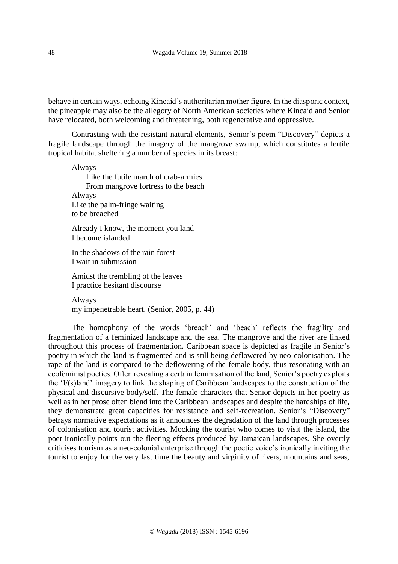behave in certain ways, echoing Kincaid's authoritarian mother figure. In the diasporic context, the pineapple may also be the allegory of North American societies where Kincaid and Senior have relocated, both welcoming and threatening, both regenerative and oppressive.

Contrasting with the resistant natural elements, Senior's poem "Discovery" depicts a fragile landscape through the imagery of the mangrove swamp, which constitutes a fertile tropical habitat sheltering a number of species in its breast:

Always

Like the futile march of crab-armies From mangrove fortress to the beach Always Like the palm-fringe waiting to be breached

Already I know, the moment you land I become islanded

In the shadows of the rain forest I wait in submission

Amidst the trembling of the leaves I practice hesitant discourse

Always my impenetrable heart. (Senior, 2005, p. 44)

The homophony of the words 'breach' and 'beach' reflects the fragility and fragmentation of a feminized landscape and the sea. The mangrove and the river are linked throughout this process of fragmentation. Caribbean space is depicted as fragile in Senior's poetry in which the land is fragmented and is still being deflowered by neo-colonisation. The rape of the land is compared to the deflowering of the female body, thus resonating with an ecofeminist poetics. Often revealing a certain feminisation of the land, Senior's poetry exploits the 'I/(s)land' imagery to link the shaping of Caribbean landscapes to the construction of the physical and discursive body/self. The female characters that Senior depicts in her poetry as well as in her prose often blend into the Caribbean landscapes and despite the hardships of life, they demonstrate great capacities for resistance and self-recreation. Senior's "Discovery" betrays normative expectations as it announces the degradation of the land through processes of colonisation and tourist activities. Mocking the tourist who comes to visit the island, the poet ironically points out the fleeting effects produced by Jamaican landscapes. She overtly criticises tourism as a neo-colonial enterprise through the poetic voice's ironically inviting the tourist to enjoy for the very last time the beauty and virginity of rivers, mountains and seas,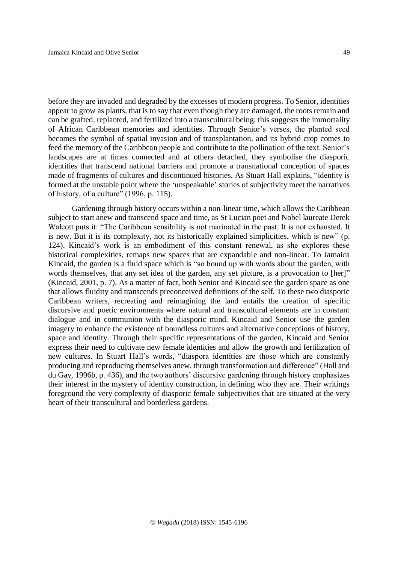before they are invaded and degraded by the excesses of modern progress. To Senior, identities appear to grow as plants, that is to say that even though they are damaged, the roots remain and can be grafted, replanted, and fertilized into a transcultural being; this suggests the immortality of African Caribbean memories and identities. Through Senior's verses, the planted seed becomes the symbol of spatial invasion and of transplantation, and its hybrid crop comes to feed the memory of the Caribbean people and contribute to the pollination of the text. Senior's landscapes are at times connected and at others detached, they symbolise the diasporic identities that transcend national barriers and promote a transnational conception of spaces made of fragments of cultures and discontinued histories. As Stuart Hall explains, "identity is formed at the unstable point where the 'unspeakable' stories of subjectivity meet the narratives of history, of a culture" (1996, p. 115).

Gardening through history occurs within a non-linear time, which allows the Caribbean subject to start anew and transcend space and time, as St Lucian poet and Nobel laureate Derek Walcott puts it: "The Caribbean sensibility is not marinated in the past. It is not exhausted. It is new. But it is its complexity, not its historically explained simplicities, which is new" (p. 124). Kincaid's work is an embodiment of this constant renewal, as she explores these historical complexities, remaps new spaces that are expandable and non-linear. To Jamaica Kincaid, the garden is a fluid space which is "so bound up with words about the garden, with words themselves, that any set idea of the garden, any set picture, is a provocation to [her]" (Kincaid, 2001, p. 7). As a matter of fact, both Senior and Kincaid see the garden space as one that allows fluidity and transcends preconceived definitions of the self. To these two diasporic Caribbean writers, recreating and reimagining the land entails the creation of specific discursive and poetic environments where natural and transcultural elements are in constant dialogue and in communion with the diasporic mind. Kincaid and Senior use the garden imagery to enhance the existence of boundless cultures and alternative conceptions of history, space and identity. Through their specific representations of the garden, Kincaid and Senior express their need to cultivate new female identities and allow the growth and fertilization of new cultures. In Stuart Hall's words, "diaspora identities are those which are constantly producing and reproducing themselves anew, through transformation and difference" (Hall and du Gay, 1996b, p. 436), and the two authors' discursive gardening through history emphasizes their interest in the mystery of identity construction, in defining who they are. Their writings foreground the very complexity of diasporic female subjectivities that are situated at the very heart of their transcultural and borderless gardens.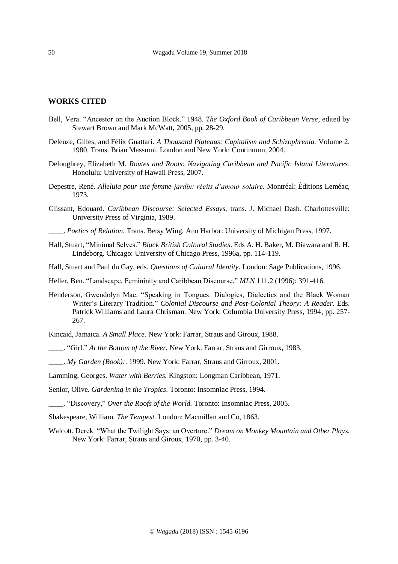#### **WORKS CITED**

- Bell, Vera. "Ancestor on the Auction Block." 1948. *The Oxford Book of Caribbean Verse*, edited by Stewart Brown and Mark McWatt, 2005, pp. 28-29.
- Deleuze, Gilles, and Félix Guattari. *A Thousand Plateaus: Capitalism and Schizophrenia.* Volume 2. 1980. Trans. Brian Massumi. London and New York: Continuum, 2004.
- Deloughrey, Elizabeth M. *Routes and Roots: Navigating Caribbean and Pacific Island Literatures*. Honolulu: University of Hawaii Press, 2007.
- Depestre, René. *Alleluia pour une femme-jardin: récits d'amour solaire.* Montréal: Éditions Leméac, 1973.
- Glissant, Edouard. *Caribbean Discourse: Selected Essays*, trans. J. Michael Dash. Charlottesville: University Press of Virginia, 1989.
- \_\_\_\_. *Poetics of Relation*. Trans. Betsy Wing. Ann Harbor: University of Michigan Press, 1997.
- Hall, Stuart, "Minimal Selves." *Black British Cultural Studies*. Eds A. H. Baker, M. Diawara and R. H. Lindeborg. Chicago: University of Chicago Press, 1996a, pp. 114-119.
- Hall, Stuart and Paul du Gay, eds. *Questions of Cultural Identity.* London: Sage Publications, 1996.
- Heller, Ben. "Landscape, Femininity and Caribbean Discourse." *MLN* 111.2 (1996): 391-416.
- Henderson, Gwendolyn Mae. "Speaking in Tongues: Dialogics, Dialectics and the Black Woman Writer's Literary Tradition." *Colonial Discourse and Post-Colonial Theory: A Reader*. Eds. Patrick Williams and Laura Chrisman. New York: Columbia University Press, 1994, pp. 257- 267.
- Kincaid, Jamaica. *A Small Place.* New York: Farrar, Straus and Giroux, 1988.
- \_\_\_\_. "Girl." *At the Bottom of the River.* New York: Farrar, Straus and Girroux, 1983.
- \_\_\_\_. *My Garden (Book):*. 1999. New York: Farrar, Straus and Girroux, 2001.
- Lamming, Georges. *Water with Berries.* Kingston: Longman Caribbean, 1971.
- Senior, Olive. *Gardening in the Tropics*. Toronto: Insomniac Press, 1994.
- \_\_\_\_. "Discovery," *Over the Roofs of the World.* Toronto: Insomniac Press, 2005.
- Shakespeare, William. *The Tempest.* London: Macmillan and Co, 1863.
- Walcott, Derek. "What the Twilight Says: an Overture." *Dream on Monkey Mountain and Other Plays.*  New York: Farrar, Straus and Giroux, 1970, pp. 3-40.